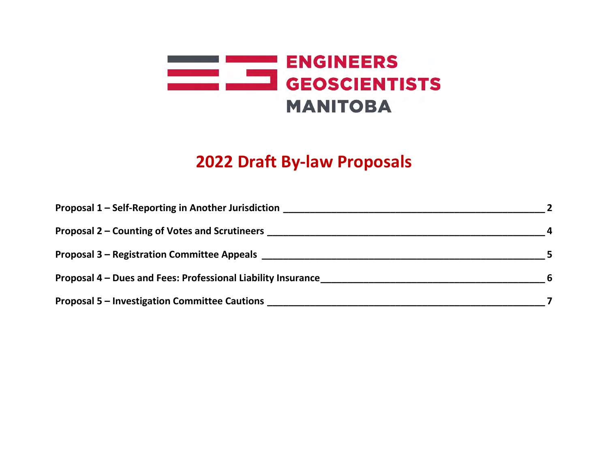

# **2022 Draft By-law Proposals**

| Proposal 1 – Self-Reporting in Another Jurisdiction<br><u> 1980 - Jan Stein Stein Stein Stein Stein Stein Stein Stein Stein Stein Stein Stein Stein Stein Stein Stein S</u>                                                    |             |
|--------------------------------------------------------------------------------------------------------------------------------------------------------------------------------------------------------------------------------|-------------|
| Proposal 2 – Counting of Votes and Scrutineers <b>Exercise 2 – Counting 19th Votes and Scrutineers</b>                                                                                                                         |             |
| Proposal 3 – Registration Committee Appeals and the control of the control of the control of the control of the control of the control of the control of the control of the control of the control of the control of the contr |             |
| Proposal 4 – Dues and Fees: Professional Liability Insurance                                                                                                                                                                   | $6^{\circ}$ |
| <b>Proposal 5 - Investigation Committee Cautions</b>                                                                                                                                                                           |             |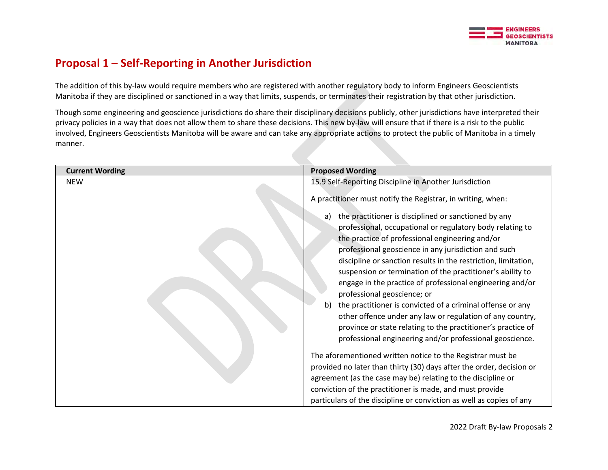

#### <span id="page-1-0"></span>**Proposal 1 – Self-Reporting in Another Jurisdiction**

The addition of this by-law would require members who are registered with another regulatory body to inform Engineers Geoscientists Manitoba if they are disciplined or sanctioned in a way that limits, suspends, or terminates their registration by that other jurisdiction.

Though some engineering and geoscience jurisdictions do share their disciplinary decisions publicly, other jurisdictions have interpreted their privacy policies in a way that does not allow them to share these decisions. This new by-law will ensure that if there is a risk to the public involved, Engineers Geoscientists Manitoba will be aware and can take any appropriate actions to protect the public of Manitoba in a timely manner.

| <b>Current Wording</b> | <b>Proposed Wording</b>                                                                                                  |
|------------------------|--------------------------------------------------------------------------------------------------------------------------|
| <b>NEW</b>             | 15.9 Self-Reporting Discipline in Another Jurisdiction                                                                   |
|                        | A practitioner must notify the Registrar, in writing, when:                                                              |
|                        | the practitioner is disciplined or sanctioned by any<br>a)                                                               |
|                        | professional, occupational or regulatory body relating to                                                                |
|                        | the practice of professional engineering and/or                                                                          |
|                        | professional geoscience in any jurisdiction and such                                                                     |
|                        | discipline or sanction results in the restriction, limitation,                                                           |
|                        | suspension or termination of the practitioner's ability to                                                               |
|                        | engage in the practice of professional engineering and/or                                                                |
|                        | professional geoscience; or                                                                                              |
|                        | the practitioner is convicted of a criminal offense or any<br>b)                                                         |
|                        | other offence under any law or regulation of any country,                                                                |
|                        | province or state relating to the practitioner's practice of<br>professional engineering and/or professional geoscience. |
|                        |                                                                                                                          |
|                        | The aforementioned written notice to the Registrar must be                                                               |
|                        | provided no later than thirty (30) days after the order, decision or                                                     |
|                        | agreement (as the case may be) relating to the discipline or                                                             |
|                        | conviction of the practitioner is made, and must provide                                                                 |
|                        | particulars of the discipline or conviction as well as copies of any                                                     |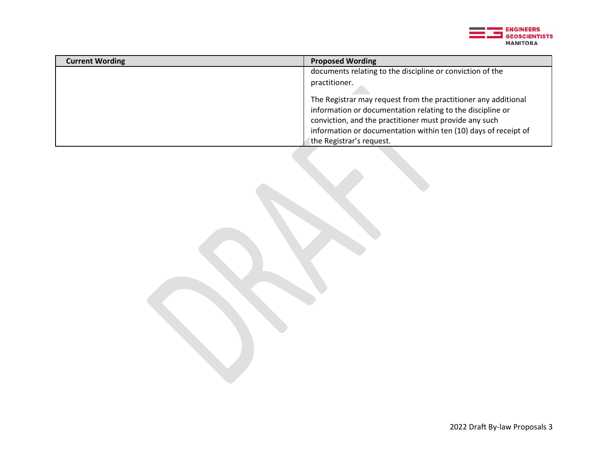

| <b>Current Wording</b> | <b>Proposed Wording</b>                                         |
|------------------------|-----------------------------------------------------------------|
|                        | documents relating to the discipline or conviction of the       |
|                        | practitioner.                                                   |
|                        | The Registrar may request from the practitioner any additional  |
|                        | information or documentation relating to the discipline or      |
|                        | conviction, and the practitioner must provide any such          |
|                        | information or documentation within ten (10) days of receipt of |
|                        | the Registrar's request.                                        |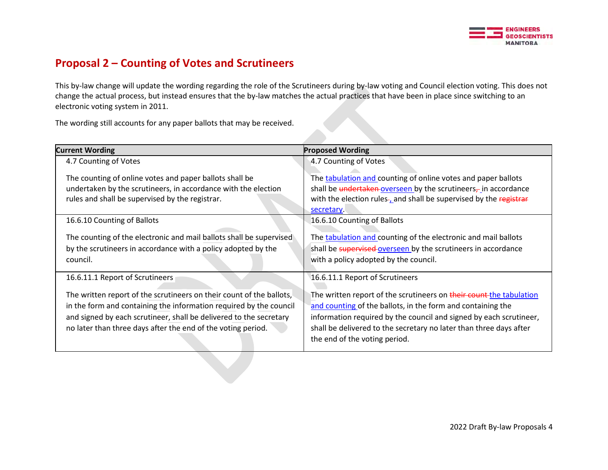

#### <span id="page-3-0"></span>**Proposal 2 – Counting of Votes and Scrutineers**

This by-law change will update the wording regarding the role of the Scrutineers during by-law voting and Council election voting. This does not change the actual process, but instead ensures that the by-law matches the actual practices that have been in place since switching to an electronic voting system in 2011.

The wording still accounts for any paper ballots that may be received.

| <b>Current Wording</b>                                                                                                                                                                                                                                                           | <b>Proposed Wording</b>                                                                                                                                                                                                                                                                                         |
|----------------------------------------------------------------------------------------------------------------------------------------------------------------------------------------------------------------------------------------------------------------------------------|-----------------------------------------------------------------------------------------------------------------------------------------------------------------------------------------------------------------------------------------------------------------------------------------------------------------|
| 4.7 Counting of Votes                                                                                                                                                                                                                                                            | 4.7 Counting of Votes                                                                                                                                                                                                                                                                                           |
| The counting of online votes and paper ballots shall be<br>undertaken by the scrutineers, in accordance with the election<br>rules and shall be supervised by the registrar.                                                                                                     | The tabulation and counting of online votes and paper ballots<br>shall be undertaken overseen by the scrutineers $_{\tau}$ in accordance<br>with the election rules-, and shall be supervised by the registrar<br>secretary.                                                                                    |
| 16.6.10 Counting of Ballots                                                                                                                                                                                                                                                      | 16.6.10 Counting of Ballots                                                                                                                                                                                                                                                                                     |
| The counting of the electronic and mail ballots shall be supervised<br>by the scrutineers in accordance with a policy adopted by the<br>council.                                                                                                                                 | The tabulation and counting of the electronic and mail ballots<br>shall be supervised overseen by the scrutineers in accordance<br>with a policy adopted by the council.                                                                                                                                        |
| 16.6.11.1 Report of Scrutineers                                                                                                                                                                                                                                                  | 16.6.11.1 Report of Scrutineers                                                                                                                                                                                                                                                                                 |
| The written report of the scrutineers on their count of the ballots,<br>in the form and containing the information required by the council<br>and signed by each scrutineer, shall be delivered to the secretary<br>no later than three days after the end of the voting period. | The written report of the scrutineers on their count the tabulation<br>and counting of the ballots, in the form and containing the<br>information required by the council and signed by each scrutineer,<br>shall be delivered to the secretary no later than three days after<br>the end of the voting period. |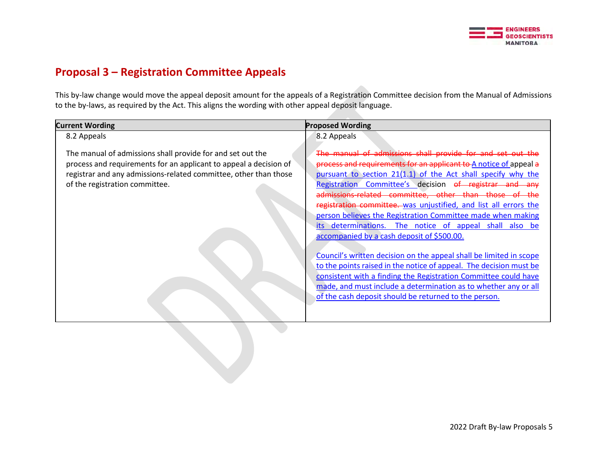

## <span id="page-4-0"></span>**Proposal 3 – Registration Committee Appeals**

This by-law change would move the appeal deposit amount for the appeals of a Registration Committee decision from the Manual of Admissions to the by-laws, as required by the Act. This aligns the wording with other appeal deposit language.

| <b>Current Wording</b>                                                                                                                                                                                                                | <b>Proposed Wording</b>                                                                                                                                                                                                                                                                                                                                                                                                                                                                                                                                                                                                                                                                                                                                                                                                                                                                                  |
|---------------------------------------------------------------------------------------------------------------------------------------------------------------------------------------------------------------------------------------|----------------------------------------------------------------------------------------------------------------------------------------------------------------------------------------------------------------------------------------------------------------------------------------------------------------------------------------------------------------------------------------------------------------------------------------------------------------------------------------------------------------------------------------------------------------------------------------------------------------------------------------------------------------------------------------------------------------------------------------------------------------------------------------------------------------------------------------------------------------------------------------------------------|
| 8.2 Appeals                                                                                                                                                                                                                           | 8.2 Appeals                                                                                                                                                                                                                                                                                                                                                                                                                                                                                                                                                                                                                                                                                                                                                                                                                                                                                              |
| The manual of admissions shall provide for and set out the<br>process and requirements for an applicant to appeal a decision of<br>registrar and any admissions-related committee, other than those<br>of the registration committee. | The manual of admissions shall provide for and set out the<br>process and requirements for an applicant to A notice of appeal a<br>pursuant to section 21(1.1) of the Act shall specify why the<br>Registration Committee's decision of registrar and any<br>admissions-related committee, other than those of the<br>registration committee. was unjustified, and list all errors the<br>person believes the Registration Committee made when making<br>its determinations. The notice of appeal shall also be<br>accompanied by a cash deposit of \$500.00.<br>Council's written decision on the appeal shall be limited in scope<br>to the points raised in the notice of appeal. The decision must be<br>consistent with a finding the Registration Committee could have<br>made, and must include a determination as to whether any or all<br>of the cash deposit should be returned to the person. |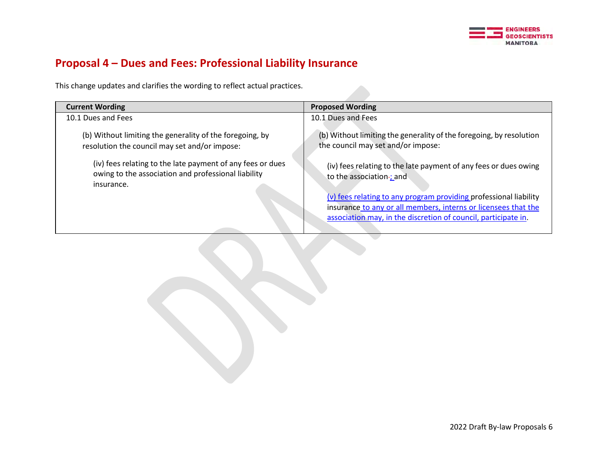

# <span id="page-5-0"></span>**Proposal 4 – Dues and Fees: Professional Liability Insurance**

This change updates and clarifies the wording to reflect actual practices.

| <b>Current Wording</b>                                                                                                          | <b>Proposed Wording</b>                                                                                                                                                                               |
|---------------------------------------------------------------------------------------------------------------------------------|-------------------------------------------------------------------------------------------------------------------------------------------------------------------------------------------------------|
| 10.1 Dues and Fees                                                                                                              | 10.1 Dues and Fees                                                                                                                                                                                    |
| (b) Without limiting the generality of the foregoing, by<br>resolution the council may set and/or impose:                       | (b) Without limiting the generality of the foregoing, by resolution<br>the council may set and/or impose:                                                                                             |
| (iv) fees relating to the late payment of any fees or dues<br>owing to the association and professional liability<br>insurance. | (iv) fees relating to the late payment of any fees or dues owing<br>to the association-; and                                                                                                          |
|                                                                                                                                 | (v) fees relating to any program providing professional liability<br>insurance to any or all members, interns or licensees that the<br>association may, in the discretion of council, participate in. |